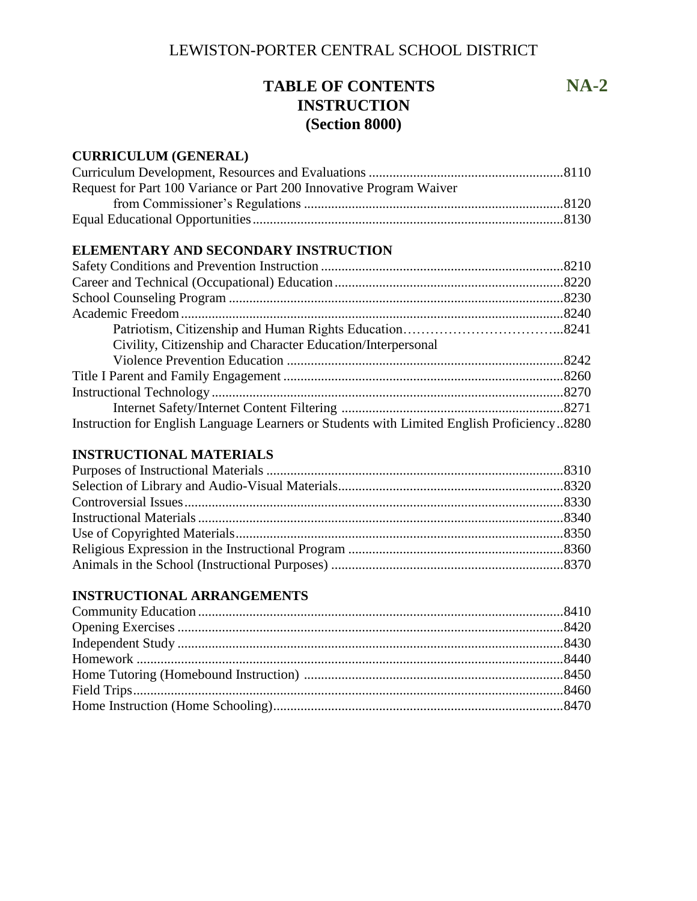# **TABLE OF CONTENTS NA-2 INSTRUCTION (Section 8000)**

## **CURRICULUM (GENERAL)**

| Request for Part 100 Variance or Part 200 Innovative Program Waiver |  |
|---------------------------------------------------------------------|--|
|                                                                     |  |
|                                                                     |  |

## **ELEMENTARY AND SECONDARY INSTRUCTION**

| Civility, Citizenship and Character Education/Interpersonal                                |  |
|--------------------------------------------------------------------------------------------|--|
|                                                                                            |  |
|                                                                                            |  |
|                                                                                            |  |
|                                                                                            |  |
| Instruction for English Language Learners or Students with Limited English Proficiency8280 |  |

## **INSTRUCTIONAL MATERIALS**

## **INSTRUCTIONAL ARRANGEMENTS**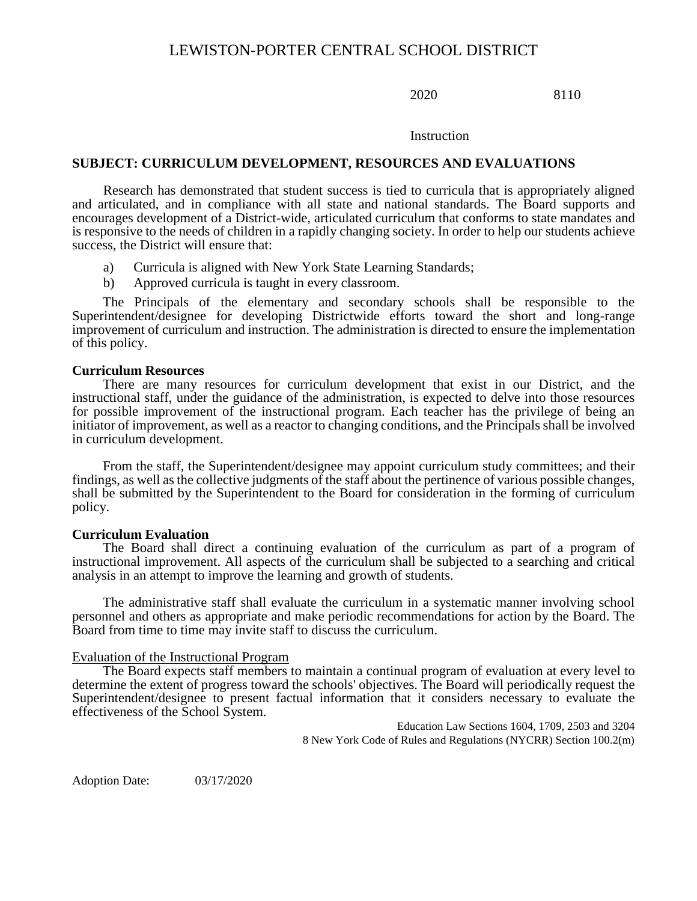2020 8110

#### Instruction

#### **SUBJECT: CURRICULUM DEVELOPMENT, RESOURCES AND EVALUATIONS**

Research has demonstrated that student success is tied to curricula that is appropriately aligned and articulated, and in compliance with all state and national standards. The Board supports and encourages development of a District-wide, articulated curriculum that conforms to state mandates and is responsive to the needs of children in a rapidly changing society. In order to help our students achieve success, the District will ensure that:

- a) Curricula is aligned with New York State Learning Standards;
- b) Approved curricula is taught in every classroom.

The Principals of the elementary and secondary schools shall be responsible to the Superintendent/designee for developing Districtwide efforts toward the short and long-range improvement of curriculum and instruction. The administration is directed to ensure the implementation of this policy.

#### **Curriculum Resources**

There are many resources for curriculum development that exist in our District, and the instructional staff, under the guidance of the administration, is expected to delve into those resources for possible improvement of the instructional program. Each teacher has the privilege of being an initiator of improvement, as well as a reactor to changing conditions, and the Principals shall be involved in curriculum development.

From the staff, the Superintendent/designee may appoint curriculum study committees; and their findings, as well as the collective judgments of the staff about the pertinence of various possible changes, shall be submitted by the Superintendent to the Board for consideration in the forming of curriculum policy.

#### **Curriculum Evaluation**

The Board shall direct a continuing evaluation of the curriculum as part of a program of instructional improvement. All aspects of the curriculum shall be subjected to a searching and critical analysis in an attempt to improve the learning and growth of students.

The administrative staff shall evaluate the curriculum in a systematic manner involving school personnel and others as appropriate and make periodic recommendations for action by the Board. The Board from time to time may invite staff to discuss the curriculum.

#### Evaluation of the Instructional Program

The Board expects staff members to maintain a continual program of evaluation at every level to determine the extent of progress toward the schools' objectives. The Board will periodically request the Superintendent/designee to present factual information that it considers necessary to evaluate the effectiveness of the School System.

> Education Law Sections 1604, 1709, 2503 and 3204 8 New York Code of Rules and Regulations (NYCRR) Section 100.2(m)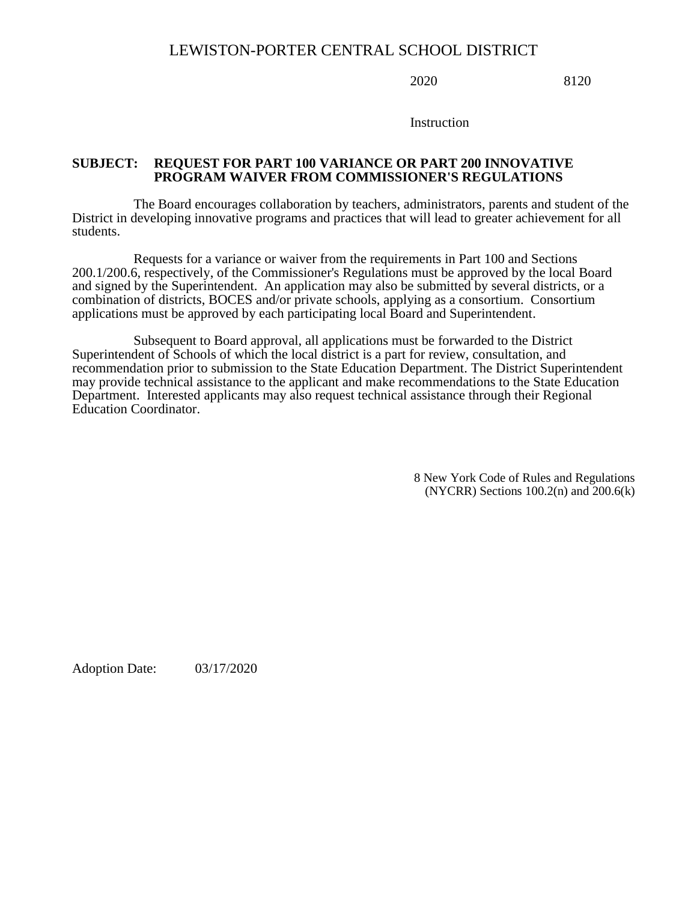2020 8120

Instruction

### **SUBJECT: REQUEST FOR PART 100 VARIANCE OR PART 200 INNOVATIVE PROGRAM WAIVER FROM COMMISSIONER'S REGULATIONS**

The Board encourages collaboration by teachers, administrators, parents and student of the District in developing innovative programs and practices that will lead to greater achievement for all students.

Requests for a variance or waiver from the requirements in Part 100 and Sections 200.1/200.6, respectively, of the Commissioner's Regulations must be approved by the local Board and signed by the Superintendent. An application may also be submitted by several districts, or a combination of districts, BOCES and/or private schools, applying as a consortium. Consortium applications must be approved by each participating local Board and Superintendent.

Subsequent to Board approval, all applications must be forwarded to the District Superintendent of Schools of which the local district is a part for review, consultation, and recommendation prior to submission to the State Education Department. The District Superintendent may provide technical assistance to the applicant and make recommendations to the State Education Department. Interested applicants may also request technical assistance through their Regional Education Coordinator.

> 8 New York Code of Rules and Regulations (NYCRR) Sections 100.2(n) and 200.6(k)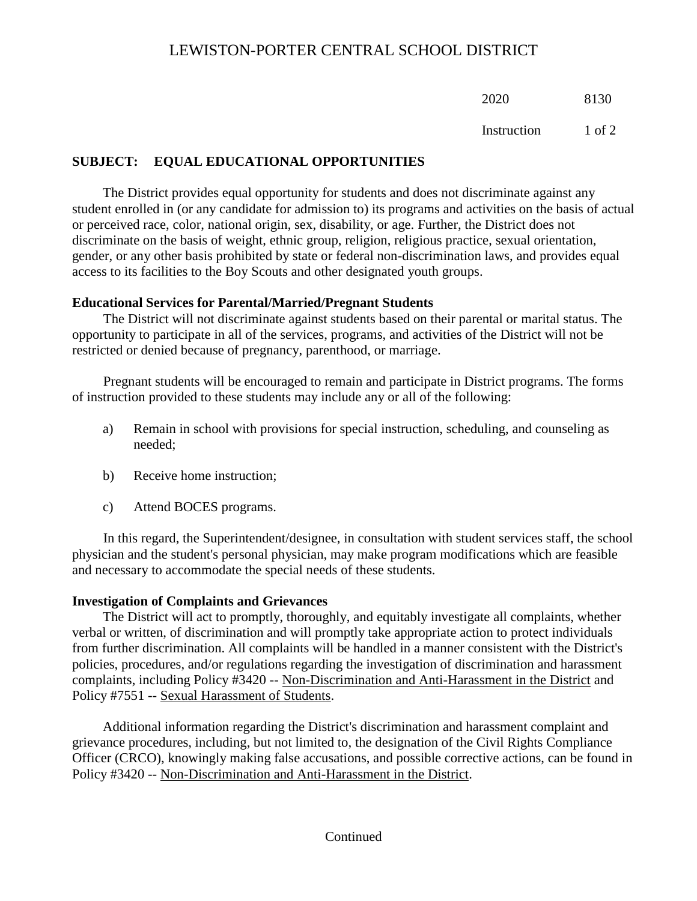2020 8130

Instruction 1 of 2

## **SUBJECT: EQUAL EDUCATIONAL OPPORTUNITIES**

The District provides equal opportunity for students and does not discriminate against any student enrolled in (or any candidate for admission to) its programs and activities on the basis of actual or perceived race, color, national origin, sex, disability, or age. Further, the District does not discriminate on the basis of weight, ethnic group, religion, religious practice, sexual orientation, gender, or any other basis prohibited by state or federal non-discrimination laws, and provides equal access to its facilities to the Boy Scouts and other designated youth groups.

## **Educational Services for Parental/Married/Pregnant Students**

The District will not discriminate against students based on their parental or marital status. The opportunity to participate in all of the services, programs, and activities of the District will not be restricted or denied because of pregnancy, parenthood, or marriage.

Pregnant students will be encouraged to remain and participate in District programs. The forms of instruction provided to these students may include any or all of the following:

- a) Remain in school with provisions for special instruction, scheduling, and counseling as needed;
- b) Receive home instruction;
- c) Attend BOCES programs.

In this regard, the Superintendent/designee, in consultation with student services staff, the school physician and the student's personal physician, may make program modifications which are feasible and necessary to accommodate the special needs of these students.

## **Investigation of Complaints and Grievances**

The District will act to promptly, thoroughly, and equitably investigate all complaints, whether verbal or written, of discrimination and will promptly take appropriate action to protect individuals from further discrimination. All complaints will be handled in a manner consistent with the District's policies, procedures, and/or regulations regarding the investigation of discrimination and harassment complaints, including Policy #3420 -- Non-Discrimination and Anti-Harassment in the District and Policy #7551 -- Sexual Harassment of Students.

Additional information regarding the District's discrimination and harassment complaint and grievance procedures, including, but not limited to, the designation of the Civil Rights Compliance Officer (CRCO), knowingly making false accusations, and possible corrective actions, can be found in Policy #3420 -- Non-Discrimination and Anti-Harassment in the District.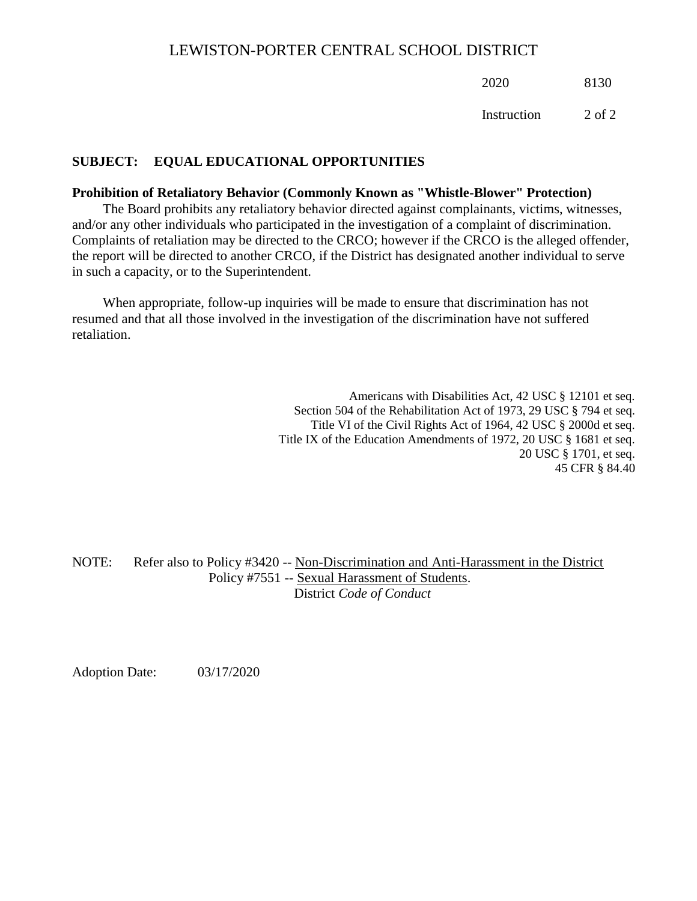2020 8130

Instruction 2 of 2

## **SUBJECT: EQUAL EDUCATIONAL OPPORTUNITIES**

#### **Prohibition of Retaliatory Behavior (Commonly Known as "Whistle-Blower" Protection)**

The Board prohibits any retaliatory behavior directed against complainants, victims, witnesses, and/or any other individuals who participated in the investigation of a complaint of discrimination. Complaints of retaliation may be directed to the CRCO; however if the CRCO is the alleged offender, the report will be directed to another CRCO, if the District has designated another individual to serve in such a capacity, or to the Superintendent.

When appropriate, follow-up inquiries will be made to ensure that discrimination has not resumed and that all those involved in the investigation of the discrimination have not suffered retaliation.

> Americans with Disabilities Act, 42 USC § 12101 et seq. Section 504 of the Rehabilitation Act of 1973, 29 USC § 794 et seq. Title VI of the Civil Rights Act of 1964, 42 USC § 2000d et seq. Title IX of the Education Amendments of 1972, 20 USC § 1681 et seq. 20 USC § 1701, et seq. 45 CFR § 84.40

NOTE: Refer also to Policy #3420 -- Non-Discrimination and Anti-Harassment in the District Policy #7551 -- Sexual Harassment of Students. District *Code of Conduct*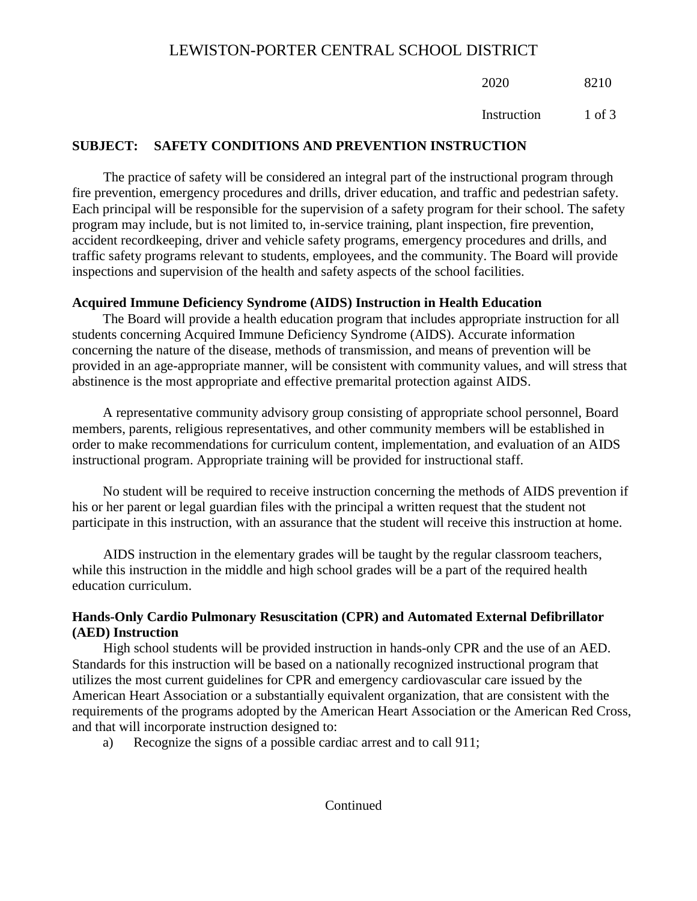2020 8210

Instruction 1 of 3

# **SUBJECT: SAFETY CONDITIONS AND PREVENTION INSTRUCTION**

The practice of safety will be considered an integral part of the instructional program through fire prevention, emergency procedures and drills, driver education, and traffic and pedestrian safety. Each principal will be responsible for the supervision of a safety program for their school. The safety program may include, but is not limited to, in-service training, plant inspection, fire prevention, accident recordkeeping, driver and vehicle safety programs, emergency procedures and drills, and traffic safety programs relevant to students, employees, and the community. The Board will provide inspections and supervision of the health and safety aspects of the school facilities.

## **Acquired Immune Deficiency Syndrome (AIDS) Instruction in Health Education**

The Board will provide a health education program that includes appropriate instruction for all students concerning Acquired Immune Deficiency Syndrome (AIDS). Accurate information concerning the nature of the disease, methods of transmission, and means of prevention will be provided in an age-appropriate manner, will be consistent with community values, and will stress that abstinence is the most appropriate and effective premarital protection against AIDS.

A representative community advisory group consisting of appropriate school personnel, Board members, parents, religious representatives, and other community members will be established in order to make recommendations for curriculum content, implementation, and evaluation of an AIDS instructional program. Appropriate training will be provided for instructional staff.

No student will be required to receive instruction concerning the methods of AIDS prevention if his or her parent or legal guardian files with the principal a written request that the student not participate in this instruction, with an assurance that the student will receive this instruction at home.

AIDS instruction in the elementary grades will be taught by the regular classroom teachers, while this instruction in the middle and high school grades will be a part of the required health education curriculum.

## **Hands-Only Cardio Pulmonary Resuscitation (CPR) and Automated External Defibrillator (AED) Instruction**

High school students will be provided instruction in hands-only CPR and the use of an AED. Standards for this instruction will be based on a nationally recognized instructional program that utilizes the most current guidelines for CPR and emergency cardiovascular care issued by the American Heart Association or a substantially equivalent organization, that are consistent with the requirements of the programs adopted by the American Heart Association or the American Red Cross, and that will incorporate instruction designed to:

a) Recognize the signs of a possible cardiac arrest and to call 911;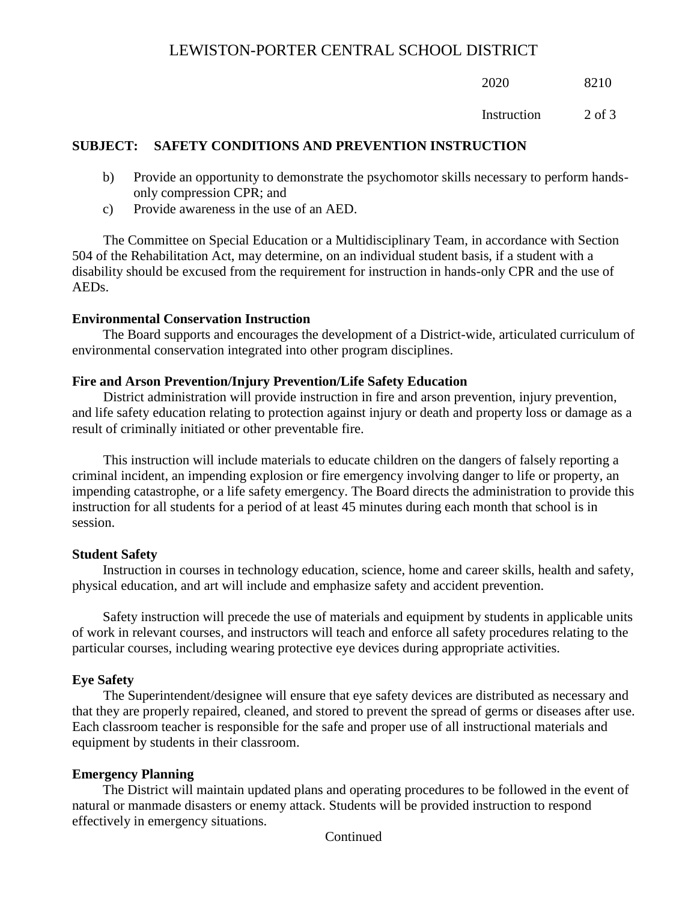2020 8210

Instruction 2 of 3

## **SUBJECT: SAFETY CONDITIONS AND PREVENTION INSTRUCTION**

- b) Provide an opportunity to demonstrate the psychomotor skills necessary to perform handsonly compression CPR; and
- c) Provide awareness in the use of an AED.

The Committee on Special Education or a Multidisciplinary Team, in accordance with Section 504 of the Rehabilitation Act, may determine, on an individual student basis, if a student with a disability should be excused from the requirement for instruction in hands-only CPR and the use of AEDs.

## **Environmental Conservation Instruction**

The Board supports and encourages the development of a District-wide, articulated curriculum of environmental conservation integrated into other program disciplines.

## **Fire and Arson Prevention/Injury Prevention/Life Safety Education**

District administration will provide instruction in fire and arson prevention, injury prevention, and life safety education relating to protection against injury or death and property loss or damage as a result of criminally initiated or other preventable fire.

This instruction will include materials to educate children on the dangers of falsely reporting a criminal incident, an impending explosion or fire emergency involving danger to life or property, an impending catastrophe, or a life safety emergency. The Board directs the administration to provide this instruction for all students for a period of at least 45 minutes during each month that school is in session.

## **Student Safety**

Instruction in courses in technology education, science, home and career skills, health and safety, physical education, and art will include and emphasize safety and accident prevention.

Safety instruction will precede the use of materials and equipment by students in applicable units of work in relevant courses, and instructors will teach and enforce all safety procedures relating to the particular courses, including wearing protective eye devices during appropriate activities.

## **Eye Safety**

The Superintendent/designee will ensure that eye safety devices are distributed as necessary and that they are properly repaired, cleaned, and stored to prevent the spread of germs or diseases after use. Each classroom teacher is responsible for the safe and proper use of all instructional materials and equipment by students in their classroom.

## **Emergency Planning**

The District will maintain updated plans and operating procedures to be followed in the event of natural or manmade disasters or enemy attack. Students will be provided instruction to respond effectively in emergency situations.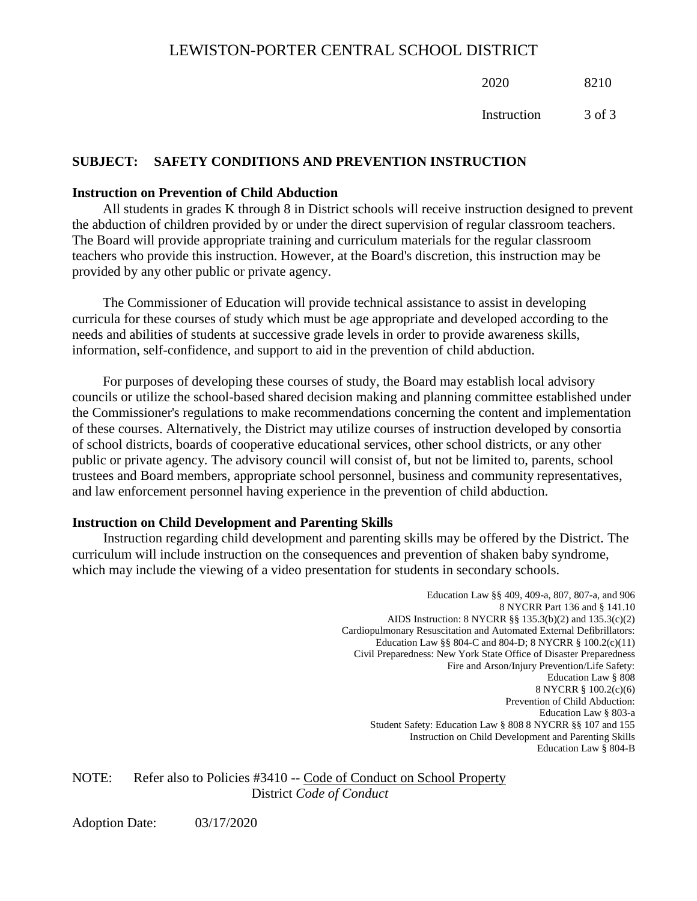2020 8210

Instruction 3 of 3

### **SUBJECT: SAFETY CONDITIONS AND PREVENTION INSTRUCTION**

#### **Instruction on Prevention of Child Abduction**

All students in grades K through 8 in District schools will receive instruction designed to prevent the abduction of children provided by or under the direct supervision of regular classroom teachers. The Board will provide appropriate training and curriculum materials for the regular classroom teachers who provide this instruction. However, at the Board's discretion, this instruction may be provided by any other public or private agency.

The Commissioner of Education will provide technical assistance to assist in developing curricula for these courses of study which must be age appropriate and developed according to the needs and abilities of students at successive grade levels in order to provide awareness skills, information, self-confidence, and support to aid in the prevention of child abduction.

For purposes of developing these courses of study, the Board may establish local advisory councils or utilize the school-based shared decision making and planning committee established under the Commissioner's regulations to make recommendations concerning the content and implementation of these courses. Alternatively, the District may utilize courses of instruction developed by consortia of school districts, boards of cooperative educational services, other school districts, or any other public or private agency. The advisory council will consist of, but not be limited to, parents, school trustees and Board members, appropriate school personnel, business and community representatives, and law enforcement personnel having experience in the prevention of child abduction.

### **Instruction on Child Development and Parenting Skills**

Instruction regarding child development and parenting skills may be offered by the District. The curriculum will include instruction on the consequences and prevention of shaken baby syndrome, which may include the viewing of a video presentation for students in secondary schools.

> Education Law §§ 409, 409-a, 807, 807-a, and 906 8 NYCRR Part 136 and § 141.10 AIDS Instruction: 8 NYCRR §§ 135.3(b)(2) and 135.3(c)(2) Cardiopulmonary Resuscitation and Automated External Defibrillators: Education Law §§ 804-C and 804-D; 8 NYCRR § 100.2(c)(11) Civil Preparedness: New York State Office of Disaster Preparedness Fire and Arson/Injury Prevention/Life Safety: Education Law § 808 8 NYCRR § 100.2(c)(6) Prevention of Child Abduction: Education Law § 803-a Student Safety: Education Law § 808 8 NYCRR §§ 107 and 155 Instruction on Child Development and Parenting Skills Education Law § 804-B

NOTE: Refer also to Policies #3410 -- Code of Conduct on School Property District *Code of Conduct*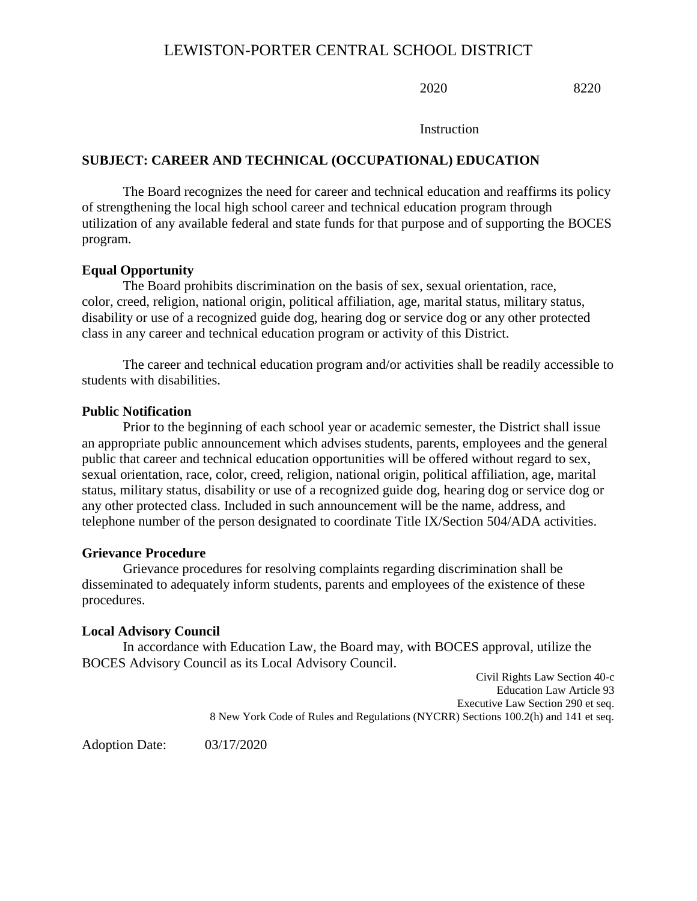2020 8220

**Instruction** 

### **SUBJECT: CAREER AND TECHNICAL (OCCUPATIONAL) EDUCATION**

The Board recognizes the need for career and technical education and reaffirms its policy of strengthening the local high school career and technical education program through utilization of any available federal and state funds for that purpose and of supporting the BOCES program.

### **Equal Opportunity**

The Board prohibits discrimination on the basis of sex, sexual orientation, race, color, creed, religion, national origin, political affiliation, age, marital status, military status, disability or use of a recognized guide dog, hearing dog or service dog or any other protected class in any career and technical education program or activity of this District.

The career and technical education program and/or activities shall be readily accessible to students with disabilities.

#### **Public Notification**

Prior to the beginning of each school year or academic semester, the District shall issue an appropriate public announcement which advises students, parents, employees and the general public that career and technical education opportunities will be offered without regard to sex, sexual orientation, race, color, creed, religion, national origin, political affiliation, age, marital status, military status, disability or use of a recognized guide dog, hearing dog or service dog or any other protected class. Included in such announcement will be the name, address, and telephone number of the person designated to coordinate Title IX/Section 504/ADA activities.

#### **Grievance Procedure**

Grievance procedures for resolving complaints regarding discrimination shall be disseminated to adequately inform students, parents and employees of the existence of these procedures.

#### **Local Advisory Council**

In accordance with Education Law, the Board may, with BOCES approval, utilize the BOCES Advisory Council as its Local Advisory Council.

> Civil Rights Law Section 40-c Education Law Article 93 Executive Law Section 290 et seq. 8 New York Code of Rules and Regulations (NYCRR) Sections 100.2(h) and 141 et seq.